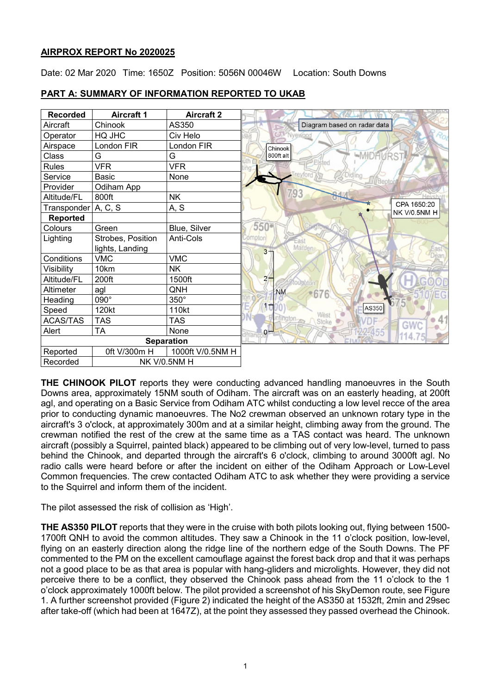## **AIRPROX REPORT No 2020025**

Date: 02 Mar 2020 Time: 1650Z Position: 5056N 00046W Location: South Downs

| <b>Recorded</b>       | <b>Aircraft 1</b> | <b>Aircraft 2</b>   |  |
|-----------------------|-------------------|---------------------|--|
| Aircraft              | Chinook           | AS350               |  |
| Operator              | HQ JHC            | Civ Helo            |  |
| Airspace              | London FIR        | London FIR          |  |
| Class                 | G                 | G                   |  |
| <b>Rules</b>          | <b>VFR</b>        | <b>VFR</b>          |  |
| Service               | <b>Basic</b>      | None                |  |
| Provider              | Odiham App        |                     |  |
| Altitude/FL           | 800ft             | <b>NK</b>           |  |
| Transponder   A, C, S |                   | A, S                |  |
| Reported              |                   |                     |  |
| Colours               | Green             | Blue, Silver        |  |
| Lighting              | Strobes, Position | Anti-Cols           |  |
|                       | lights, Landing   |                     |  |
| Conditions            | <b>VMC</b>        | <b>VMC</b>          |  |
| Visibility            | 10km              | <b>NK</b>           |  |
| Altitude/FL           | 200ft             | 1500ft              |  |
| Altimeter             | agl               | QNH                 |  |
| Heading               | 090°              | $350^\circ$         |  |
| Speed                 | 120kt             | 110kt               |  |
| <b>ACAS/TAS</b>       | <b>TAS</b>        | <b>TAS</b>          |  |
| Alert                 | <b>TA</b>         | None                |  |
| <b>Separation</b>     |                   |                     |  |
| Reported              | 0ft V/300m H      | 1000ft V/0.5NM H    |  |
| Recorded              |                   | <b>NK V/0.5NM H</b> |  |

## **PART A: SUMMARY OF INFORMATION REPORTED TO UKAB**

**THE CHINOOK PILOT** reports they were conducting advanced handling manoeuvres in the South Downs area, approximately 15NM south of Odiham. The aircraft was on an easterly heading, at 200ft agl, and operating on a Basic Service from Odiham ATC whilst conducting a low level recce of the area prior to conducting dynamic manoeuvres. The No2 crewman observed an unknown rotary type in the aircraft's 3 o'clock, at approximately 300m and at a similar height, climbing away from the ground. The crewman notified the rest of the crew at the same time as a TAS contact was heard. The unknown aircraft (possibly a Squirrel, painted black) appeared to be climbing out of very low-level, turned to pass behind the Chinook, and departed through the aircraft's 6 o'clock, climbing to around 3000ft agl. No radio calls were heard before or after the incident on either of the Odiham Approach or Low-Level Common frequencies. The crew contacted Odiham ATC to ask whether they were providing a service to the Squirrel and inform them of the incident.

The pilot assessed the risk of collision as 'High'.

**THE AS350 PILOT** reports that they were in the cruise with both pilots looking out, flying between 1500- 1700ft QNH to avoid the common altitudes. They saw a Chinook in the 11 o'clock position, low-level, flying on an easterly direction along the ridge line of the northern edge of the South Downs. The PF commented to the PM on the excellent camouflage against the forest back drop and that it was perhaps not a good place to be as that area is popular with hang-gliders and microlights. However, they did not perceive there to be a conflict, they observed the Chinook pass ahead from the 11 o'clock to the 1 o'clock approximately 1000ft below. The pilot provided a screenshot of his SkyDemon route, see Figure 1. A further screenshot provided (Figure 2) indicated the height of the AS350 at 1532ft, 2min and 29sec after take-off (which had been at 1647Z), at the point they assessed they passed overhead the Chinook.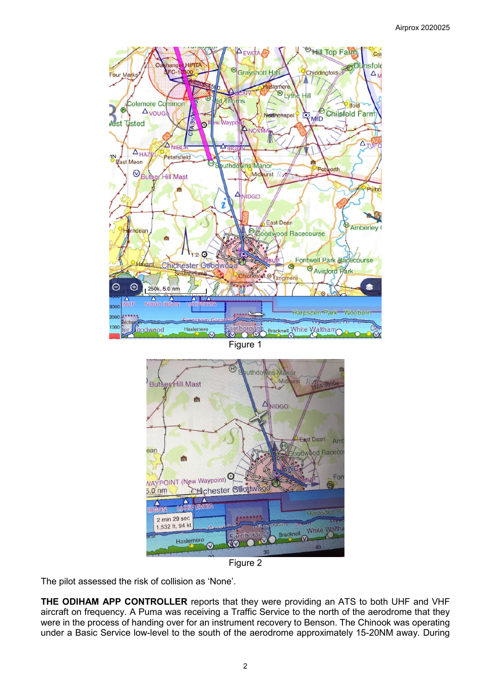

Figure 1



Figure 2

The pilot assessed the risk of collision as 'None'.

**THE ODIHAM APP CONTROLLER** reports that they were providing an ATS to both UHF and VHF aircraft on frequency. A Puma was receiving a Traffic Service to the north of the aerodrome that they were in the process of handing over for an instrument recovery to Benson. The Chinook was operating under a Basic Service low-level to the south of the aerodrome approximately 15-20NM away. During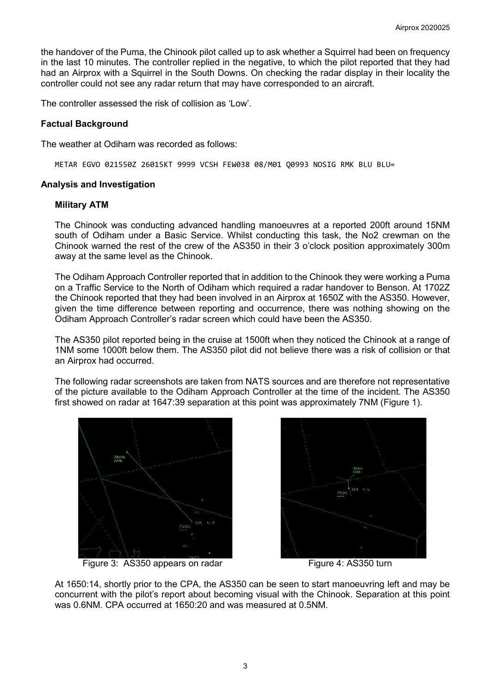the handover of the Puma, the Chinook pilot called up to ask whether a Squirrel had been on frequency in the last 10 minutes. The controller replied in the negative, to which the pilot reported that they had had an Airprox with a Squirrel in the South Downs. On checking the radar display in their locality the controller could not see any radar return that may have corresponded to an aircraft.

The controller assessed the risk of collision as 'Low'.

## **Factual Background**

The weather at Odiham was recorded as follows:

METAR EGVO 021550Z 26015KT 9999 VCSH FEW038 08/M01 Q0993 NOSIG RMK BLU BLU=

### **Analysis and Investigation**

### **Military ATM**

The Chinook was conducting advanced handling manoeuvres at a reported 200ft around 15NM south of Odiham under a Basic Service. Whilst conducting this task, the No2 crewman on the Chinook warned the rest of the crew of the AS350 in their 3 o'clock position approximately 300m away at the same level as the Chinook.

The Odiham Approach Controller reported that in addition to the Chinook they were working a Puma on a Traffic Service to the North of Odiham which required a radar handover to Benson. At 1702Z the Chinook reported that they had been involved in an Airprox at 1650Z with the AS350. However, given the time difference between reporting and occurrence, there was nothing showing on the Odiham Approach Controller's radar screen which could have been the AS350.

The AS350 pilot reported being in the cruise at 1500ft when they noticed the Chinook at a range of 1NM some 1000ft below them. The AS350 pilot did not believe there was a risk of collision or that an Airprox had occurred.

The following radar screenshots are taken from NATS sources and are therefore not representative of the picture available to the Odiham Approach Controller at the time of the incident. The AS350 first showed on radar at 1647:39 separation at this point was approximately 7NM (Figure 1).



Figure 3: AS350 appears on radar Figure 4: AS350 turn



At 1650:14, shortly prior to the CPA, the AS350 can be seen to start manoeuvring left and may be concurrent with the pilot's report about becoming visual with the Chinook. Separation at this point was 0.6NM. CPA occurred at 1650:20 and was measured at 0.5NM.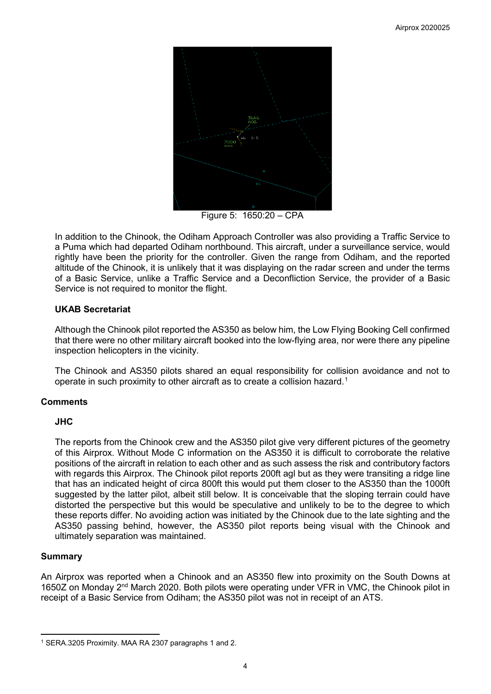

Figure 5: 1650:20 – CPA

In addition to the Chinook, the Odiham Approach Controller was also providing a Traffic Service to a Puma which had departed Odiham northbound. This aircraft, under a surveillance service, would rightly have been the priority for the controller. Given the range from Odiham, and the reported altitude of the Chinook, it is unlikely that it was displaying on the radar screen and under the terms of a Basic Service, unlike a Traffic Service and a Deconfliction Service, the provider of a Basic Service is not required to monitor the flight.

## **UKAB Secretariat**

Although the Chinook pilot reported the AS350 as below him, the Low Flying Booking Cell confirmed that there were no other military aircraft booked into the low-flying area, nor were there any pipeline inspection helicopters in the vicinity.

The Chinook and AS350 pilots shared an equal responsibility for collision avoidance and not to operate in such proximity to other aircraft as to create a collision hazard. [1](#page-3-0)

# **Comments**

## **JHC**

The reports from the Chinook crew and the AS350 pilot give very different pictures of the geometry of this Airprox. Without Mode C information on the AS350 it is difficult to corroborate the relative positions of the aircraft in relation to each other and as such assess the risk and contributory factors with regards this Airprox. The Chinook pilot reports 200ft agl but as they were transiting a ridge line that has an indicated height of circa 800ft this would put them closer to the AS350 than the 1000ft suggested by the latter pilot, albeit still below. It is conceivable that the sloping terrain could have distorted the perspective but this would be speculative and unlikely to be to the degree to which these reports differ. No avoiding action was initiated by the Chinook due to the late sighting and the AS350 passing behind, however, the AS350 pilot reports being visual with the Chinook and ultimately separation was maintained.

## **Summary**

An Airprox was reported when a Chinook and an AS350 flew into proximity on the South Downs at 1650Z on Monday 2nd March 2020. Both pilots were operating under VFR in VMC, the Chinook pilot in receipt of a Basic Service from Odiham; the AS350 pilot was not in receipt of an ATS.

<span id="page-3-0"></span>l <sup>1</sup> SERA.3205 Proximity. MAA RA 2307 paragraphs 1 and 2.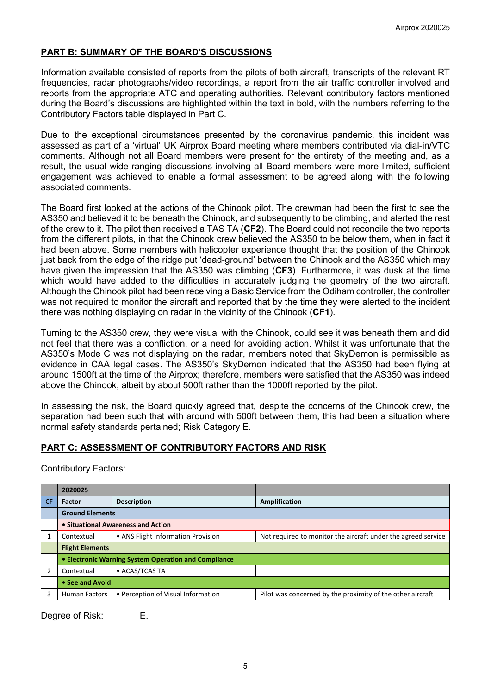## **PART B: SUMMARY OF THE BOARD'S DISCUSSIONS**

Information available consisted of reports from the pilots of both aircraft, transcripts of the relevant RT frequencies, radar photographs/video recordings, a report from the air traffic controller involved and reports from the appropriate ATC and operating authorities. Relevant contributory factors mentioned during the Board's discussions are highlighted within the text in bold, with the numbers referring to the Contributory Factors table displayed in Part C.

Due to the exceptional circumstances presented by the coronavirus pandemic, this incident was assessed as part of a 'virtual' UK Airprox Board meeting where members contributed via dial-in/VTC comments. Although not all Board members were present for the entirety of the meeting and, as a result, the usual wide-ranging discussions involving all Board members were more limited, sufficient engagement was achieved to enable a formal assessment to be agreed along with the following associated comments.

The Board first looked at the actions of the Chinook pilot. The crewman had been the first to see the AS350 and believed it to be beneath the Chinook, and subsequently to be climbing, and alerted the rest of the crew to it. The pilot then received a TAS TA (**CF2**). The Board could not reconcile the two reports from the different pilots, in that the Chinook crew believed the AS350 to be below them, when in fact it had been above. Some members with helicopter experience thought that the position of the Chinook just back from the edge of the ridge put 'dead-ground' between the Chinook and the AS350 which may have given the impression that the AS350 was climbing (**CF3**). Furthermore, it was dusk at the time which would have added to the difficulties in accurately judging the geometry of the two aircraft. Although the Chinook pilot had been receiving a Basic Service from the Odiham controller, the controller was not required to monitor the aircraft and reported that by the time they were alerted to the incident there was nothing displaying on radar in the vicinity of the Chinook (**CF1**).

Turning to the AS350 crew, they were visual with the Chinook, could see it was beneath them and did not feel that there was a confliction, or a need for avoiding action. Whilst it was unfortunate that the AS350's Mode C was not displaying on the radar, members noted that SkyDemon is permissible as evidence in CAA legal cases. The AS350's SkyDemon indicated that the AS350 had been flying at around 1500ft at the time of the Airprox; therefore, members were satisfied that the AS350 was indeed above the Chinook, albeit by about 500ft rather than the 1000ft reported by the pilot.

In assessing the risk, the Board quickly agreed that, despite the concerns of the Chinook crew, the separation had been such that with around with 500ft between them, this had been a situation where normal safety standards pertained; Risk Category E.

## **PART C: ASSESSMENT OF CONTRIBUTORY FACTORS AND RISK**

Contributory Factors:

|           | 2020025                                              |                                    |                                                               |  |  |
|-----------|------------------------------------------------------|------------------------------------|---------------------------------------------------------------|--|--|
| <b>CF</b> | <b>Factor</b>                                        | <b>Description</b>                 | Amplification                                                 |  |  |
|           | <b>Ground Elements</b>                               |                                    |                                                               |  |  |
|           | • Situational Awareness and Action                   |                                    |                                                               |  |  |
|           | Contextual                                           | • ANS Flight Information Provision | Not required to monitor the aircraft under the agreed service |  |  |
|           | <b>Flight Elements</b>                               |                                    |                                                               |  |  |
|           | • Electronic Warning System Operation and Compliance |                                    |                                                               |  |  |
|           | Contextual                                           | • ACAS/TCAS TA                     |                                                               |  |  |
|           | • See and Avoid                                      |                                    |                                                               |  |  |
|           | <b>Human Factors</b>                                 | • Perception of Visual Information | Pilot was concerned by the proximity of the other aircraft    |  |  |

Degree of Risk: E.